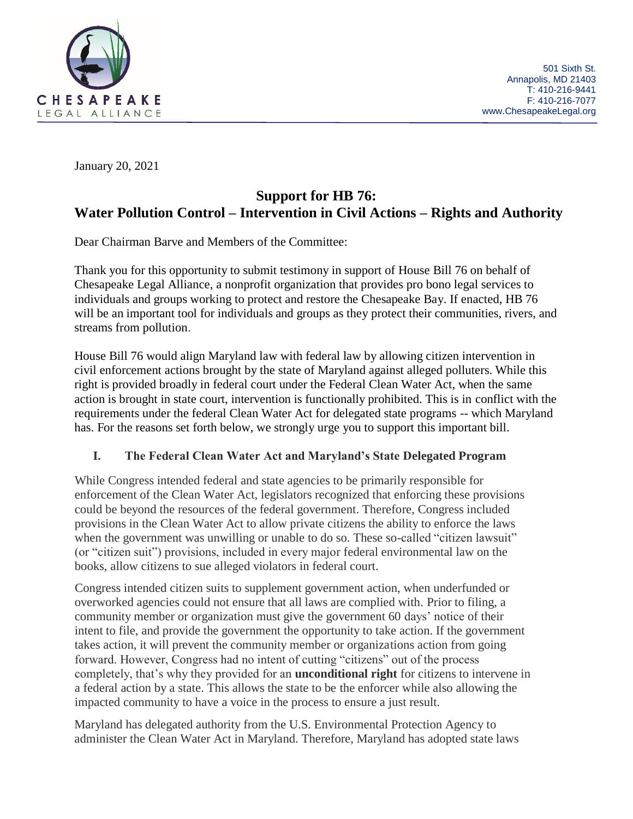

January 20, 2021

# **Support for HB 76: Water Pollution Control – Intervention in Civil Actions – Rights and Authority**

Dear Chairman Barve and Members of the Committee:

Thank you for this opportunity to submit testimony in support of House Bill 76 on behalf of Chesapeake Legal Alliance, a nonprofit organization that provides pro bono legal services to individuals and groups working to protect and restore the Chesapeake Bay. If enacted, HB 76 will be an important tool for individuals and groups as they protect their communities, rivers, and streams from pollution.

House Bill 76 would align Maryland law with federal law by allowing citizen intervention in civil enforcement actions brought by the state of Maryland against alleged polluters. While this right is provided broadly in federal court under the Federal Clean Water Act, when the same action is brought in state court, intervention is functionally prohibited. This is in conflict with the requirements under the federal Clean Water Act for delegated state programs -- which Maryland has. For the reasons set forth below, we strongly urge you to support this important bill.

# **I. The Federal Clean Water Act and Maryland's State Delegated Program**

While Congress intended federal and state agencies to be primarily responsible for enforcement of the Clean Water Act, legislators recognized that enforcing these provisions could be beyond the resources of the federal government. Therefore, Congress included provisions in the Clean Water Act to allow private citizens the ability to enforce the laws when the government was unwilling or unable to do so. These so-called "citizen lawsuit" (or "citizen suit") provisions, included in every major federal environmental law on the books, allow citizens to sue alleged violators in federal court.

Congress intended citizen suits to supplement government action, when underfunded or overworked agencies could not ensure that all laws are complied with. Prior to filing, a community member or organization must give the government 60 days' notice of their intent to file, and provide the government the opportunity to take action. If the government takes action, it will prevent the community member or organizations action from going forward. However, Congress had no intent of cutting "citizens" out of the process completely, that's why they provided for an **unconditional right** for citizens to intervene in a federal action by a state. This allows the state to be the enforcer while also allowing the impacted community to have a voice in the process to ensure a just result.

Maryland has delegated authority from the U.S. Environmental Protection Agency to administer the Clean Water Act in Maryland. Therefore, Maryland has adopted state laws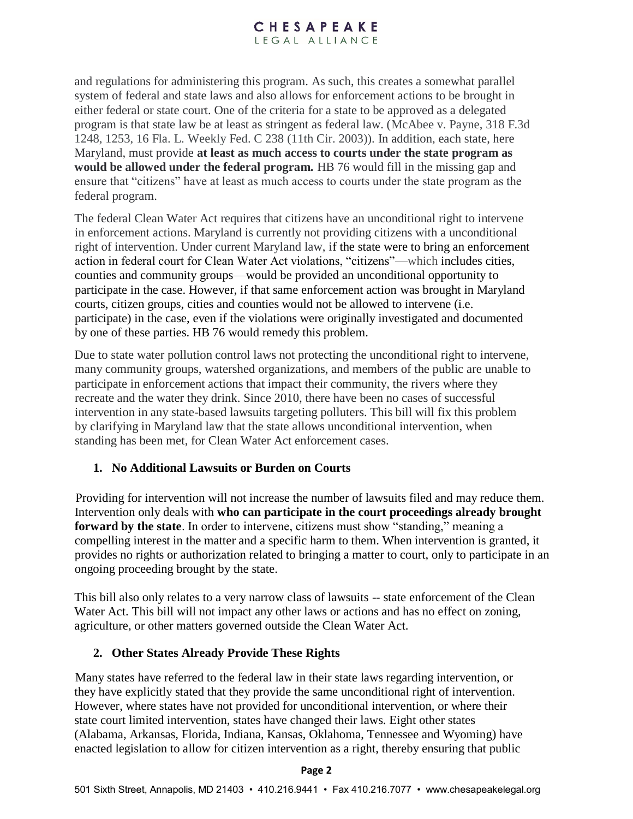### CHESAPEAKE LEGAL ALLIANCE

and regulations for administering this program. As such, this creates a somewhat parallel system of federal and state laws and also allows for enforcement actions to be brought in either federal or state court. One of the criteria for a state to be approved as a delegated program is that state law be at least as stringent as federal law. (McAbee v. Payne, 318 F.3d 1248, 1253, 16 Fla. L. Weekly Fed. C 238 (11th Cir. 2003)). In addition, each state, here Maryland, must provide **at least as much access to courts under the state program as would be allowed under the federal program.** HB 76 would fill in the missing gap and ensure that "citizens" have at least as much access to courts under the state program as the federal program.

The federal Clean Water Act requires that citizens have an unconditional right to intervene in enforcement actions. Maryland is currently not providing citizens with a unconditional right of intervention. Under current Maryland law, if the state were to bring an enforcement action in federal court for Clean Water Act violations, "citizens"—which includes cities, counties and community groups—would be provided an unconditional opportunity to participate in the case. However, if that same enforcement action was brought in Maryland courts, citizen groups, cities and counties would not be allowed to intervene (i.e. participate) in the case, even if the violations were originally investigated and documented by one of these parties. HB 76 would remedy this problem.

Due to state water pollution control laws not protecting the unconditional right to intervene, many community groups, watershed organizations, and members of the public are unable to participate in enforcement actions that impact their community, the rivers where they recreate and the water they drink. Since 2010, there have been no cases of successful intervention in any state-based lawsuits targeting polluters. This bill will fix this problem by clarifying in Maryland law that the state allows unconditional intervention, when standing has been met, for Clean Water Act enforcement cases.

# **1. No Additional Lawsuits or Burden on Courts**

Providing for intervention will not increase the number of lawsuits filed and may reduce them. Intervention only deals with **who can participate in the court proceedings already brought forward by the state**. In order to intervene, citizens must show "standing," meaning a compelling interest in the matter and a specific harm to them. When intervention is granted, it provides no rights or authorization related to bringing a matter to court, only to participate in an ongoing proceeding brought by the state.

This bill also only relates to a very narrow class of lawsuits -- state enforcement of the Clean Water Act. This bill will not impact any other laws or actions and has no effect on zoning, agriculture, or other matters governed outside the Clean Water Act.

#### **2. Other States Already Provide These Rights**

Many states have referred to the federal law in their state laws regarding intervention, or they have explicitly stated that they provide the same unconditional right of intervention. However, where states have not provided for unconditional intervention, or where their state court limited intervention, states have changed their laws. Eight other states (Alabama, Arkansas, Florida, Indiana, Kansas, Oklahoma, Tennessee and Wyoming) have enacted legislation to allow for citizen intervention as a right, thereby ensuring that public

#### **Page 2**